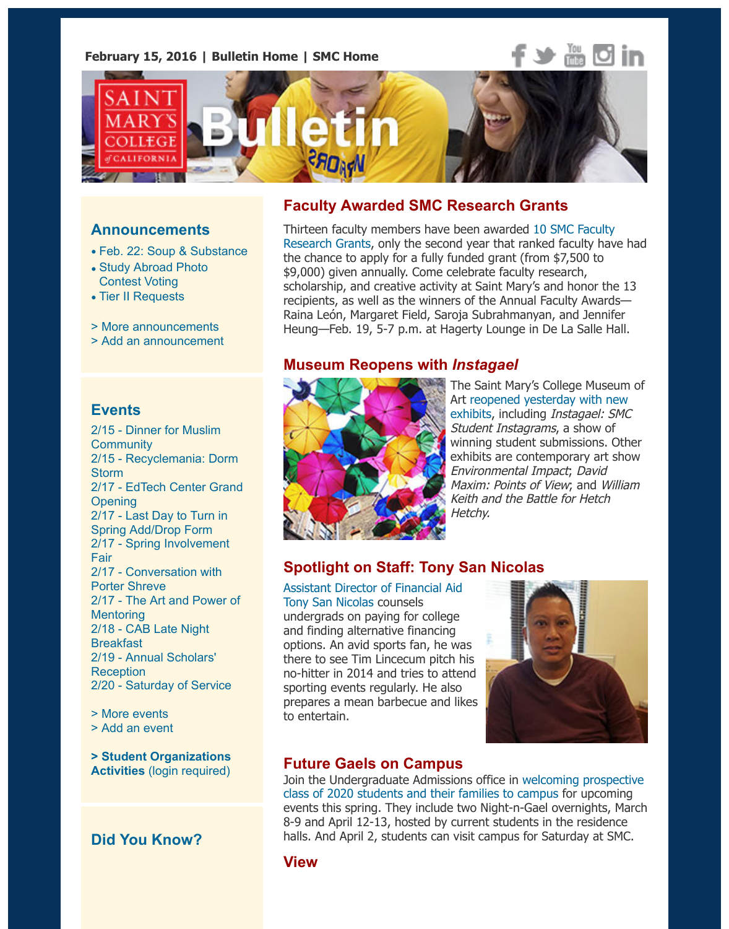

#### **Announcements**

- Feb. 22: Soup & Substance
- Study Abroad Photo Contest Voting
- Tier II Requests
- > More announcements
- > Add an announcement

### **[Events](https://www.stmarys-ca.edu/study-abroad-photo-contest-voting?utm_source=Bulletin&utm_medium=email&utm_content=announcement_test&utm_campaign=02-15-2016)**

2[/15 - Dinner for M](http://www.stmarys-ca.edu/tier-ii-requests?utm_source=Bulletin&utm_medium=email&utm_content=announcement_test&utm_campaign=02-15-2016)uslim **Community** 2/15 [- Recyclemania: D](http://www.stmarys-ca.edu/smc-bulletin/announcements?utm_source=Bulletin&utm_medium=email&utm_content=announcement_test&utm_campaign=02-15-2016)[or](http://www.stmarys-ca.edu/node/add/announcement?utm_source=Bulletin&utm_medium=email&utm_content=announcement_test&utm_campaign=02-15-2016)m **Storm** 2/17 - EdTech Center Grand **Opening** 2/17 - Last Day to Turn in Spring Add/Drop Form 2/17 - Spring Involvement Fair [2/17 - Conversation with](http://www.stmarys-ca.edu/dinner-for-muslim-community?utm_source=Bulletin&utm_medium=email&utm_content=event_test&utm_campaign=02-15-2016) Porter Shreve [2/17 - The Art and Power of](http://www.stmarys-ca.edu/dorm-storm-recyclemania?utm_source=Bulletin&utm_medium=email&utm_content=event_test&utm_campaign=02-15-2016) **Mentoring** [2/18 - CAB Late Night](http://www.stmarys-ca.edu/edtech-center-grand-opening?utm_source=Bulletin&utm_medium=email&utm_content=event_test&utm_campaign=02-15-2016) Breakfast [2/19 - Annual Scholars'](http://www.stmarys-ca.edu/last-day-to-turn-in-your-spring-2016-adddrop-form?utm_source=Bulletin&utm_medium=email&utm_content=event_test&utm_campaign=02-15-2016) Reception [2/20 - Saturday of Service](http://www.stmarys-ca.edu/spring-involvement-fair?utm_source=Bulletin&utm_medium=email&utm_content=event_test&utm_campaign=02-15-2016)

[> More events](http://www.stmarys-ca.edu/afternoon-craft-conversation-with-porter-shreve?utm_source=Bulletin&utm_medium=email&utm_content=event_test&utm_campaign=02-15-2016) [> Add an event](http://www.stmarys-ca.edu/career-gateway-the-art-and-power-of-mentoring-sponsored-by-target?utm_source=Bulletin&utm_medium=email&utm_content=event_test&utm_campaign=02-15-2016)

**[> Student Organizati](http://www.stmarys-ca.edu/cab-late-night-breakfast?utm_source=Bulletin&utm_medium=email&utm_content=event_test&utm_campaign=02-15-2016)ons Activities** [\(login require](http://www.stmarys-ca.edu/annual-scholars-reception?utm_source=Bulletin&utm_medium=email&utm_content=event_test&utm_campaign=02-15-2016)d)

# **[Did You Kn](http://www.stmarys-ca.edu/events?utm_source=Bulletin&utm_medium=email&utm_content=event_test&utm_campaign=02-15-2016)ow?**

## **Faculty Awarded SMC Research Grants**

Thirteen faculty members have been awarded 10 SMC Faculty Research Grants, only the second year that ranked faculty have the chance to apply for a fully funded grant (from \$7,500 to \$9,000) given annually. Come celebrate faculty research, scholarship, and creative activity at Saint Mary's and honor the recipients, as well as the winners of the Annual Faculty Awards— Raina León, Margaret Field, Saroja Subrahmanyan, and Jennifer Heung-Feb. 19, 5-7 p.m. at Hagerty Lounge in De La Salle Ha

### **[Museum Reopens with](http://www.stmarys-ca.edu/faculty-research-grant-winners-2016-2017?utm_source=Bulletin&utm_medium=email&utm_content=feature_test&utm_campaign=02-15-2016)** *Instagael*



The Saint Mary's College Museu Art reopened yesterday with ne exhibits, including *Instagael: SI* Student Instagrams, a show of winning student submissions. O exhibits are contemporary art show Environmental Impact; David Maxim: Points of View; and Will Keith and the Battle for Hetch Hetch[y](https://www.stmarys-ca.edu/saint-marys-college-museum-of-art/exhibitions-and-collections/current-exhibitions?utm_source=Bulletin&utm_medium=email&utm_content=feature_test&utm_campaign=02-15-2016).

## **Spotlight on Staff: Tony San Nicolas**

Assistant Director of Financial Aid Tony San Nicolas counsels undergrads on paying for college and finding alternative financing options. An avid sports fan, he was there to see Tim Lincecum pitch his no-hitter in 2014 and tries to attend sporting events regularly. He also prepares a mean barbecue and likes to entertain.



### **Future Gaels on Campus**

Join the Undergraduate Admissions office in welcoming prospe class of 2020 students and their families to campus for upcomi events this spring. They include two Night-n-Gael overnights, M 8-9 and April 12-13, hosted by current students in the residence halls. And April 2, students can visit campus for Saturday at SN

### **View**